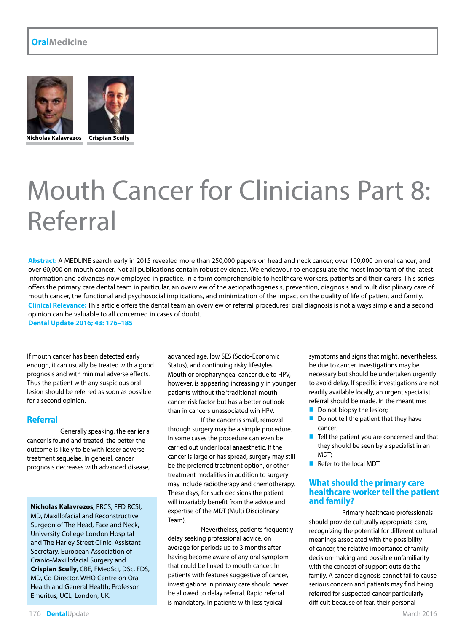#### **OralMedicine**





**Nicholas Kalavrezos Crispian Scully**

## Mouth Cancer for Clinicians Part 8: Referral

**Abstract:** A MEDLINE search early in 2015 revealed more than 250,000 papers on head and neck cancer; over 100,000 on oral cancer; and over 60,000 on mouth cancer. Not all publications contain robust evidence. We endeavour to encapsulate the most important of the latest information and advances now employed in practice, in a form comprehensible to healthcare workers, patients and their carers. This series offers the primary care dental team in particular, an overview of the aetiopathogenesis, prevention, diagnosis and multidisciplinary care of mouth cancer, the functional and psychosocial implications, and minimization of the impact on the quality of life of patient and family. **Clinical Relevance:** This article offers the dental team an overview of referral procedures; oral diagnosis is not always simple and a second opinion can be valuable to all concerned in cases of doubt.

**Dental Update 2016; 43: 176–185**

If mouth cancer has been detected early enough, it can usually be treated with a good prognosis and with minimal adverse effects. Thus the patient with any suspicious oral lesion should be referred as soon as possible for a second opinion.

#### **Referral**

Generally speaking, the earlier a cancer is found and treated, the better the outcome is likely to be with lesser adverse treatment sequelae. In general, cancer prognosis decreases with advanced disease,

**Nicholas Kalavrezos**, FRCS, FFD RCSI, MD, Maxillofacial and Reconstructive Surgeon of The Head, Face and Neck, University College London Hospital and The Harley Street Clinic. Assistant Secretary, European Association of Cranio-Maxillofacial Surgery and **Crispian Scully**, CBE, FMedSci, DSc, FDS, MD, Co-Director, WHO Centre on Oral Health and General Health; Professor Emeritus, UCL, London, UK.

advanced age, low SES (Socio-Economic Status), and continuing risky lifestyles. Mouth or oropharyngeal cancer due to HPV, however, is appearing increasingly in younger patients without the 'traditional' mouth cancer risk factor but has a better outlook than in cancers unassociated wih HPV.

If the cancer is small, removal through surgery may be a simple procedure. In some cases the procedure can even be carried out under local anaesthetic. If the cancer is large or has spread, surgery may still be the preferred treatment option, or other treatment modalities in addition to surgery may include radiotherapy and chemotherapy. These days, for such decisions the patient will invariably benefit from the advice and expertise of the MDT (Multi-Disciplinary Team).

Nevertheless, patients frequently delay seeking professional advice, on average for periods up to 3 months after having become aware of any oral symptom that could be linked to mouth cancer. In patients with features suggestive of cancer, investigations in primary care should never be allowed to delay referral. Rapid referral is mandatory. In patients with less typical

symptoms and signs that might, nevertheless, be due to cancer, investigations may be necessary but should be undertaken urgently to avoid delay. If specific investigations are not readily available locally, an urgent specialist referral should be made. In the meantime:

- Do not biopsy the lesion;
- Do not tell the patient that they have cancer;
- $\blacksquare$  Tell the patient you are concerned and that they should be seen by a specialist in an MDT;
- Refer to the local MDT.

#### **What should the primary care healthcare worker tell the patient and family?**

Primary healthcare professionals should provide culturally appropriate care, recognizing the potential for different cultural meanings associated with the possibility of cancer, the relative importance of family decision-making and possible unfamiliarity with the concept of support outside the family. A cancer diagnosis cannot fail to cause serious concern and patients may find being referred for suspected cancer particularly difficult because of fear, their personal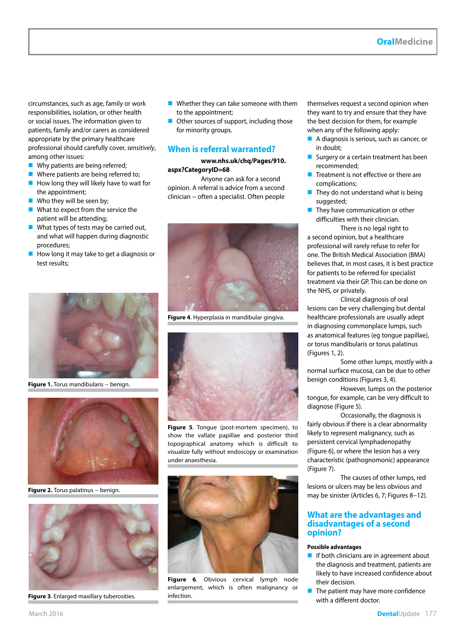circumstances, such as age, family or work responsibilities, isolation, or other health or social issues. The information given to patients, family and/or carers as considered appropriate by the primary healthcare professional should carefully cover, *sensitively*, among other issues:

- Why patients are being referred;
- Where patients are being referred to;
- $\blacksquare$  How long they will likely have to wait for the appointment;
- Who they will be seen by;
- What to expect from the service the patient will be attending;
- What types of tests may be carried out, and what will happen during diagnostic procedures;
- How long it may take to get a diagnosis or test results;



**Figure 1.** Torus mandibularis − benign.



Figure 2. Torus palatinus - benign.



**Figure 3**. Enlarged maxillary tuberosities.

- **Whether they can take someone with them** to the appointment;
- Other sources of support, including those for minority groups.

#### **When is referral warranted?**

**www.nhs.uk/chq/Pages/910. aspx?CategoryID=68**

Anyone can ask for a second opinion. A referral is advice from a second clinician − often a specialist. Often people



**Figure 4**. Hyperplasia in mandibular gingiva.



**Figure 5**. Tongue (post-mortem specimen), to show the vallate papillae and posterior third topographical anatomy which is difficult to visualize fully without endoscopy or examination under anaesthesia.



**Figure 6**. Obvious cervical lymph node enlargement, which is often malignancy or infection.

themselves request a second opinion when they want to try and ensure that they have the best decision for them, for example when any of the following apply:

- A diagnosis is serious, such as cancer, or in doubt;
- Surgery or a certain treatment has been recommended;
- $\blacksquare$  Treatment is not effective or there are complications;
- They do not understand what is being suggested;
- $\blacksquare$  They have communication or other difficulties with their clinician.

There is no legal right to a second opinion, but a healthcare professional will rarely refuse to refer for one. The British Medical Association (BMA) believes that, in most cases, it is best practice for patients to be referred for specialist treatment via their GP. This can be done on the NHS, or privately.

Clinical diagnosis of oral lesions can be very challenging but dental healthcare professionals are usually adept in diagnosing commonplace lumps, such as anatomical features (eg tongue papillae), or torus mandibularis or torus palatinus (Figures 1, 2).

Some other lumps, mostly with a normal surface mucosa, can be due to other benign conditions (Figures 3, 4).

However, lumps on the posterior tongue, for example, can be very difficult to diagnose (Figure 5).

Occasionally, the diagnosis is fairly obvious if there is a clear abnormality likely to represent malignancy, such as persistent cervical lymphadenopathy (Figure 6), or where the lesion has a very characteristic (pathognomonic) appearance (Figure 7).

The causes of other lumps, red lesions or ulcers may be less obvious and may be sinister (Articles 6, 7; Figures 8−12).

#### **What are the advantages and disadvantages of a second opinion?**

#### **Possible advantages**

- $\blacksquare$  If both clinicians are in agreement about the diagnosis and treatment, patients are likely to have increased confidence about their decision.
- $\blacksquare$  The patient may have more confidence with a different doctor.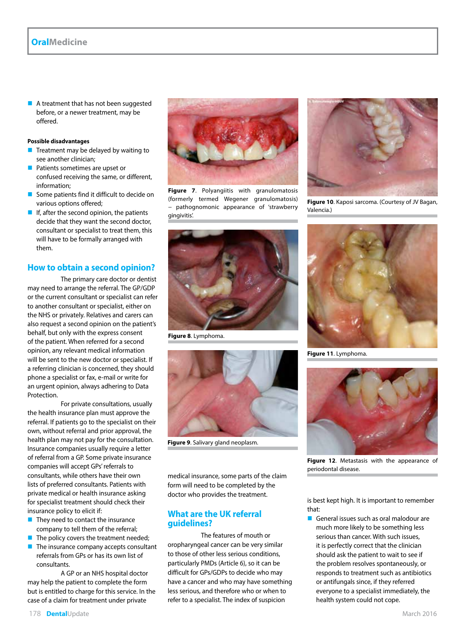$\blacksquare$  A treatment that has not been suggested before, or a newer treatment, may be offered.

#### **Possible disadvantages**

- Treatment may be delayed by waiting to see another clinician;
- **Patients sometimes are upset or** confused receiving the same, or different, information;
- Some patients find it difficult to decide on various options offered;
- If, after the second opinion, the patients decide that they want the second doctor, consultant or specialist to treat them, this will have to be formally arranged with them.

#### **How to obtain a second opinion?**

The primary care doctor or dentist may need to arrange the referral. The GP/GDP or the current consultant or specialist can refer to another consultant or specialist, either on the NHS or privately. Relatives and carers can also request a second opinion on the patient's behalf, but only with the express consent of the patient. When referred for a second opinion, any relevant medical information will be sent to the new doctor or specialist. If a referring clinician is concerned, they should phone a specialist or fax, e-mail or write for an urgent opinion, always adhering to Data Protection.

For private consultations, usually the health insurance plan must approve the referral. If patients go to the specialist on their own, without referral and prior approval, the health plan may not pay for the consultation. Insurance companies usually require a letter of referral from a GP. Some private insurance companies will accept GPs' referrals to consultants, while others have their own lists of preferred consultants. Patients with private medical or health insurance asking for specialist treatment should check their insurance policy to elicit if:

- $\blacksquare$  They need to contact the insurance company to tell them of the referral;
- $\blacksquare$  The policy covers the treatment needed;
- $\blacksquare$  The insurance company accepts consultant referrals from GPs or has its own list of consultants.

A GP or an NHS hospital doctor may help the patient to complete the form but is entitled to charge for this service. In the case of a claim for treatment under private



**Figure 7**. Polyangiitis with granulomatosis (formerly termed Wegener granulomatosis) pathognomonic appearance of 'strawberry gingivitis'.



**Figure 8**. Lymphoma.



**Figure 9**. Salivary gland neoplasm.

medical insurance, some parts of the claim form will need to be completed by the doctor who provides the treatment.

#### **What are the UK referral guidelines?**

The features of mouth or oropharyngeal cancer can be very similar to those of other less serious conditions, particularly PMDs (Article 6), so it can be difficult for GPs/GDPs to decide who may have a cancer and who may have something less serious, and therefore who or when to refer to a specialist. The index of suspicion



**Figure 10**. Kaposi sarcoma. (Courtesy of JV Bagan, Valencia.)



**Figure 11**. Lymphoma.



**Figure 12**. Metastasis with the appearance of periodontal disease.

is best kept high. It is important to remember that:

General issues such as oral malodour are much more likely to be something less serious than cancer. With such issues, it is perfectly correct that the clinician should ask the patient to wait to see if the problem resolves spontaneously, or responds to treatment such as antibiotics or antifungals since, if they referred everyone to a specialist immediately, the health system could not cope.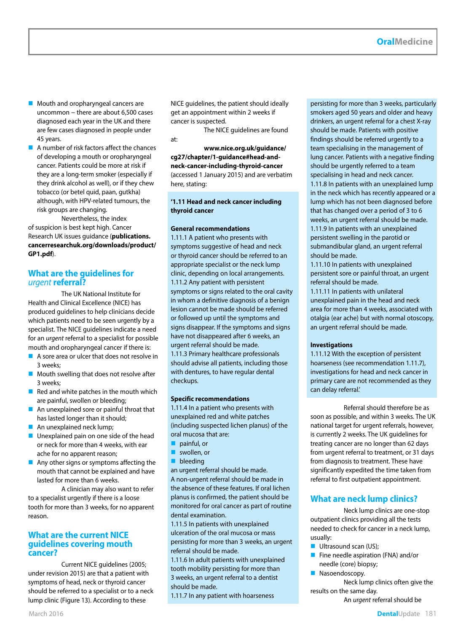- **Mouth and oropharyngeal cancers are** uncommon − there are about 6,500 cases diagnosed each year in the UK and there are few cases diagnosed in people under 45 years.
- $\blacksquare$  A number of risk factors affect the chances of developing a mouth or oropharyngeal cancer. Patients could be more at risk if they are a long-term smoker (especially if they drink alcohol as well), or if they chew tobacco (or betel quid, paan, gutkha) although, with HPV-related tumours, the risk groups are changing.

Nevertheless, the index of suspicion is best kept high. Cancer Research UK issues guidance (**publications. cancerresearchuk.org/downloads/product/ GP1.pdf**).

#### **What are the guidelines for**  *urgent* **referral?**

The UK National Institute for Health and Clinical Excellence (NICE) has produced guidelines to help clinicians decide which patients need to be seen urgently by a specialist. The NICE guidelines indicate a need for an *urgent* referral to a specialist for possible mouth and oropharyngeal cancer if there is:

- A sore area or ulcer that does not resolve in 3 weeks;
- **Mouth swelling that does not resolve after** 3 weeks;
- $\blacksquare$  Red and white patches in the mouth which are painful, swollen or bleeding;
- An unexplained sore or painful throat that has lasted longer than it should;
- An unexplained neck lump;
- **Unexplained pain on one side of the head** or neck for more than 4 weeks, with ear ache for no apparent reason;
- Any other signs or symptoms affecting the mouth that cannot be explained and have lasted for more than 6 weeks.

A clinician may also want to refer to a specialist urgently if there is a loose tooth for more than 3 weeks, for no apparent reason.

#### **What are the current NICE guidelines covering mouth cancer?**

Current NICE guidelines (2005; under revision 2015) are that a patient with symptoms of head, neck or thyroid cancer should be referred to a specialist or to a neck lump clinic (Figure 13). According to these

NICE guidelines, the patient should ideally get an appointment within 2 weeks if cancer is suspected.

The NICE guidelines are found at:

**www.nice.org.uk/guidance/ cg27/chapter/1-guidance#head-andneck-cancer-including-thyroid-cancer** (accessed 1 January 2015) and are verbatim here, stating:

#### **'1.11 Head and neck cancer including thyroid cancer**

#### **General recommendations**

1.11.1 A patient who presents with symptoms suggestive of head and neck or thyroid cancer should be referred to an appropriate specialist or the neck lump clinic, depending on local arrangements. 1.11.2 Any patient with persistent symptoms or signs related to the oral cavity in whom a definitive diagnosis of a benign lesion cannot be made should be referred or followed up until the symptoms and signs disappear. If the symptoms and signs have not disappeared after 6 weeks, an urgent referral should be made. 1.11.3 Primary healthcare professionals should advise all patients, including those with dentures, to have regular dental checkups.

#### **Specific recommendations**

1.11.4 In a patient who presents with unexplained red and white patches (including suspected lichen planus) of the oral mucosa that are:

- painful, or
- swollen, or
- **bleeding**
- an urgent referral should be made.

A non-urgent referral should be made in the absence of these features. If oral lichen planus is confirmed, the patient should be monitored for oral cancer as part of routine dental examination.

1.11.5 In patients with unexplained ulceration of the oral mucosa or mass persisting for more than 3 weeks, an urgent referral should be made.

1.11.6 In adult patients with unexplained tooth mobility persisting for more than 3 weeks, an urgent referral to a dentist should be made.

1.11.7 In any patient with hoarseness

persisting for more than 3 weeks, particularly smokers aged 50 years and older and heavy drinkers, an urgent referral for a chest X-ray should be made. Patients with positive findings should be referred urgently to a team specialising in the management of lung cancer. Patients with a negative finding should be urgently referred to a team specialising in head and neck cancer. 1.11.8 In patients with an unexplained lump in the neck which has recently appeared or a lump which has not been diagnosed before that has changed over a period of 3 to 6 weeks, an urgent referral should be made. 1.11.9 In patients with an unexplained persistent swelling in the parotid or submandibular gland, an urgent referral should be made.

1.11.10 In patients with unexplained persistent sore or painful throat, an urgent referral should be made.

1.11.11 In patients with unilateral unexplained pain in the head and neck area for more than 4 weeks, associated with otalgia (ear ache) but with normal otoscopy, an urgent referral should be made.

#### **Investigations**

1.11.12 With the exception of persistent hoarseness (see recommendation 1.11.7), investigations for head and neck cancer in primary care are not recommended as they can delay referral.'

Referral should therefore be as soon as possible, and within 3 weeks. The UK national target for urgent referrals, however, is currently 2 weeks. The UK guidelines for treating cancer are no longer than 62 days from urgent referral to treatment, or 31 days from diagnosis to treatment. These have significantly expedited the time taken from referral to first outpatient appointment.

#### **What are neck lump clinics?**

Neck lump clinics are one-stop outpatient clinics providing all the tests needed to check for cancer in a neck lump, usually:

- **Ultrasound scan (US):**
- Fine needle aspiration (FNA) and/or needle (core) biopsy;
- **Nasoendoscopy.**

Neck lump clinics often give the results on the same day.

An *urgent* referral should be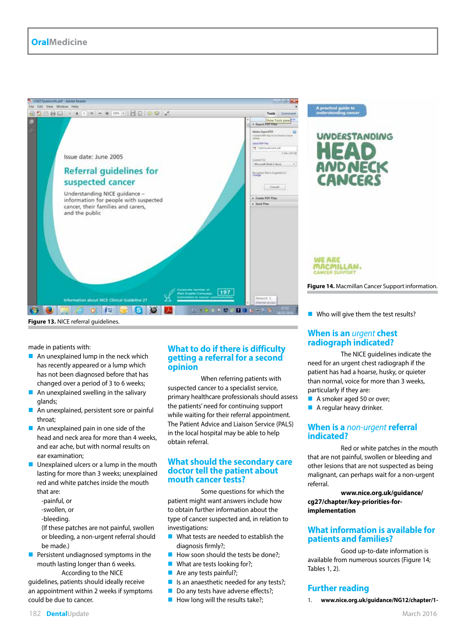

# **UNDERSTANDING**

**WE ARE** MACMILLAN.

**Figure 14.** Macmillan Cancer Support information.

**Figure 13.** NICE referral guidelines.

made in patients with:

- An unexplained lump in the neck which has recently appeared or a lump which has not been diagnosed before that has changed over a period of 3 to 6 weeks;
- An unexplained swelling in the salivary glands;
- An unexplained, persistent sore or painful throat;
- An unexplained pain in one side of the head and neck area for more than 4 weeks, and ear ache, but with normal results on ear examination;
- $\blacksquare$  Unexplained ulcers or a lump in the mouth lasting for more than 3 weeks; unexplained red and white patches inside the mouth that are:
	- -painful, or
	- -swollen, or
	- -bleeding.

(If these patches are not painful, swollen or bleeding, a non-urgent referral should be made.)

**Persistent undiagnosed symptoms in the** mouth lasting longer than 6 weeks. According to the NICE

guidelines, patients should ideally receive an appointment within 2 weeks if symptoms could be due to cancer.

#### **What to do if there is difficulty getting a referral for a second opinion**

When referring patients with suspected cancer to a specialist service, primary healthcare professionals should assess the patients' need for continuing support while waiting for their referral appointment. The Patient Advice and Liaison Service (PALS) in the local hospital may be able to help obtain referral.

#### **What should the secondary care doctor tell the patient about mouth cancer tests?**

Some questions for which the patient might want answers include how to obtain further information about the type of cancer suspected and, in relation to investigations:

- What tests are needed to establish the diagnosis firmly?;
- $\blacksquare$  How soon should the tests be done?;
- What are tests looking for?;
- Are any tests painful?;
- $\blacksquare$  Is an anaesthetic needed for any tests?;
- Do any tests have adverse effects?;
- $\blacksquare$  How long will the results take?;

Who will give them the test results?

#### **When is an** *urgent* **chest radiograph indicated?**

The NICE guidelines indicate the need for an urgent chest radiograph if the patient has had a hoarse, husky, or quieter than normal, voice for more than 3 weeks, particularly if they are:

- A smoker aged 50 or over;
- A regular heavy drinker.

#### **When is a** *non-urgent* **referral indicated?**

Red or white patches in the mouth that are not painful, swollen or bleeding and other lesions that are not suspected as being malignant, can perhaps wait for a non-urgent referral.

**www.nice.org.uk/guidance/ cg27/chapter/key-priorities-forimplementation**

#### **What information is available for patients and families?**

Good up-to-date information is available from numerous sources (Figure 14; Tables 1, 2).

#### **Further reading**

1. **www.nice.org.uk/guidance/NG12/chapter/1-**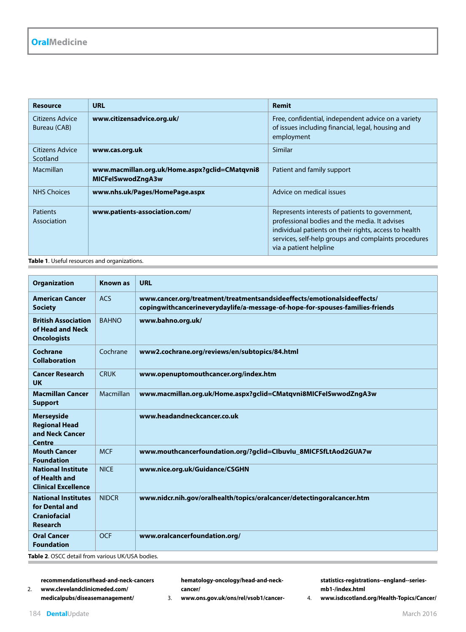| Resource                        | <b>URL</b>                                                          | Remit                                                                                                                                                                                                                                       |
|---------------------------------|---------------------------------------------------------------------|---------------------------------------------------------------------------------------------------------------------------------------------------------------------------------------------------------------------------------------------|
| Citizens Advice<br>Bureau (CAB) | www.citizensadvice.org.uk/                                          | Free, confidential, independent advice on a variety<br>of issues including financial, legal, housing and<br>employment                                                                                                                      |
| Citizens Advice<br>Scotland     | www.cas.org.uk                                                      | Similar                                                                                                                                                                                                                                     |
| Macmillan                       | www.macmillan.org.uk/Home.aspx?gclid=CMatqvni8<br>MICFelSwwodZngA3w | Patient and family support                                                                                                                                                                                                                  |
| <b>NHS Choices</b>              | www.nhs.uk/Pages/HomePage.aspx                                      | Advice on medical issues                                                                                                                                                                                                                    |
| <b>Patients</b><br>Association  | www.patients-association.com/                                       | Represents interests of patients to government,<br>professional bodies and the media. It advises<br>individual patients on their rights, access to health<br>services, self-help groups and complaints procedures<br>via a patient helpline |

**Table 1**. Useful resources and organizations.

| <b>Organization</b>                                                                         | <b>Known as</b> | <b>URL</b>                                                                                                                                               |
|---------------------------------------------------------------------------------------------|-----------------|----------------------------------------------------------------------------------------------------------------------------------------------------------|
| <b>American Cancer</b><br><b>Society</b>                                                    | <b>ACS</b>      | www.cancer.org/treatment/treatmentsandsideeffects/emotionalsideeffects/<br>copingwithcancerineverydaylife/a-message-of-hope-for-spouses-families-friends |
| <b>British Association</b><br>of Head and Neck<br><b>Oncologists</b>                        | <b>BAHNO</b>    | www.bahno.org.uk/                                                                                                                                        |
| Cochrane<br><b>Collaboration</b>                                                            | Cochrane        | www2.cochrane.org/reviews/en/subtopics/84.html                                                                                                           |
| <b>Cancer Research</b><br><b>UK</b>                                                         | <b>CRUK</b>     | www.openuptomouthcancer.org/index.htm                                                                                                                    |
| <b>Macmillan Cancer</b><br><b>Support</b>                                                   | Macmillan       | www.macmillan.org.uk/Home.aspx?gclid=CMatqvni8MICFelSwwodZngA3w                                                                                          |
| <b>Merseyside</b><br><b>Regional Head</b><br>and Neck Cancer<br><b>Centre</b>               |                 | www.headandneckcancer.co.uk                                                                                                                              |
| <b>Mouth Cancer</b><br><b>Foundation</b>                                                    | <b>MCF</b>      | www.mouthcancerfoundation.org/?gclid=Clbuvlu_8MICFSfLtAod2GUA7w                                                                                          |
| <b>National Institute</b><br>of Health and<br><b>Clinical Excellence</b>                    | <b>NICE</b>     | www.nice.org.uk/Guidance/CSGHN                                                                                                                           |
| <b>National Institutes</b><br>for Dental and<br><b>Craniofacial</b><br><b>Research</b>      | <b>NIDCR</b>    | www.nidcr.nih.gov/oralhealth/topics/oralcancer/detectingoralcancer.htm                                                                                   |
| <b>Oral Cancer</b><br><b>Foundation</b><br>$Table 2$ OSCC detail from various UK/USA hodies | <b>OCF</b>      | www.oralcancerfoundation.org/                                                                                                                            |

**Table 2**. OSCC detail from various UK/USA bodies.

**recommendations#head-and-neck-cancers**

2. **www.clevelandclinicmeded.com/ medicalpubs/diseasemanagement/** **hematology-oncology/head-and-neckcancer/**

**statistics-registrations--england--seriesmb1-/index.html** 4. **www.isdscotland.org/Health-Topics/Cancer/**

3. **www.ons.gov.uk/ons/rel/vsob1/cancer-**